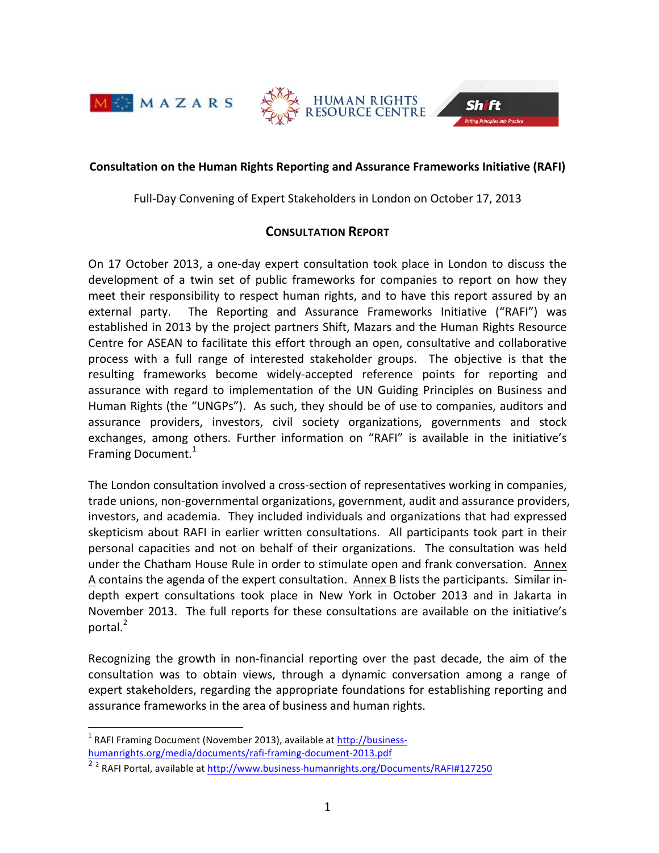



#### **Consultation on the Human Rights Reporting and Assurance Frameworks Initiative (RAFI)**

Full-Day Convening of Expert Stakeholders in London on October 17, 2013

## **CONSULTATION REPORT**

On 17 October 2013, a one-day expert consultation took place in London to discuss the development of a twin set of public frameworks for companies to report on how they meet their responsibility to respect human rights, and to have this report assured by an external party. The Reporting and Assurance Frameworks Initiative ("RAFI") was established in 2013 by the project partners Shift, Mazars and the Human Rights Resource Centre for ASEAN to facilitate this effort through an open, consultative and collaborative process with a full range of interested stakeholder groups. The objective is that the resulting frameworks become widely-accepted reference points for reporting and assurance with regard to implementation of the UN Guiding Principles on Business and Human Rights (the "UNGPs"). As such, they should be of use to companies, auditors and assurance providers, investors, civil society organizations, governments and stock exchanges, among others. Further information on "RAFI" is available in the initiative's Framing Document. $1$ 

The London consultation involved a cross-section of representatives working in companies, trade unions, non-governmental organizations, government, audit and assurance providers, investors, and academia. They included individuals and organizations that had expressed skepticism about RAFI in earlier written consultations. All participants took part in their personal capacities and not on behalf of their organizations. The consultation was held under the Chatham House Rule in order to stimulate open and frank conversation. Annex A contains the agenda of the expert consultation. Annex B lists the participants. Similar indepth expert consultations took place in New York in October 2013 and in Jakarta in November 2013. The full reports for these consultations are available on the initiative's portal. $<sup>2</sup>$ </sup>

Recognizing the growth in non-financial reporting over the past decade, the aim of the consultation was to obtain views, through a dynamic conversation among a range of expert stakeholders, regarding the appropriate foundations for establishing reporting and assurance frameworks in the area of business and human rights.

 $1$  RAFI Framing Document (November 2013), available at http://businesshumanrights.org/media/documents/rafi-framing-document-2013.pdf 

 $\frac{22}{2}$  RAFI Portal, available at http://www.business-humanrights.org/Documents/RAFI#127250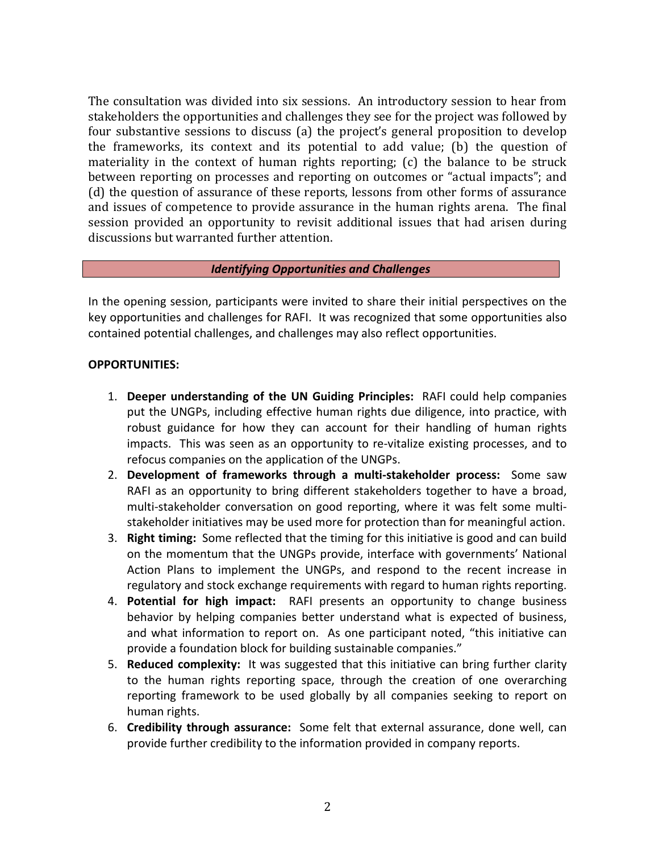The consultation was divided into six sessions. An introductory session to hear from stakeholders the opportunities and challenges they see for the project was followed by four substantive sessions to discuss (a) the project's general proposition to develop the frameworks, its context and its potential to add value; (b) the question of materiality in the context of human rights reporting;  $(c)$  the balance to be struck between reporting on processes and reporting on outcomes or "actual impacts"; and (d) the question of assurance of these reports, lessons from other forms of assurance and issues of competence to provide assurance in the human rights arena. The final session provided an opportunity to revisit additional issues that had arisen during discussions but warranted further attention.

### **Identifying Opportunities and Challenges**

In the opening session, participants were invited to share their initial perspectives on the key opportunities and challenges for RAFI. It was recognized that some opportunities also contained potential challenges, and challenges may also reflect opportunities.

## **OPPORTUNITIES:**

- 1. Deeper understanding of the UN Guiding Principles: RAFI could help companies put the UNGPs, including effective human rights due diligence, into practice, with robust guidance for how they can account for their handling of human rights impacts. This was seen as an opportunity to re-vitalize existing processes, and to refocus companies on the application of the UNGPs.
- 2. Development of frameworks through a multi-stakeholder process: Some saw RAFI as an opportunity to bring different stakeholders together to have a broad, multi-stakeholder conversation on good reporting, where it was felt some multistakeholder initiatives may be used more for protection than for meaningful action.
- 3. **Right timing:** Some reflected that the timing for this initiative is good and can build on the momentum that the UNGPs provide, interface with governments' National Action Plans to implement the UNGPs, and respond to the recent increase in regulatory and stock exchange requirements with regard to human rights reporting.
- 4. **Potential for high impact:** RAFI presents an opportunity to change business behavior by helping companies better understand what is expected of business, and what information to report on. As one participant noted, "this initiative can provide a foundation block for building sustainable companies."
- 5. **Reduced complexity:** It was suggested that this initiative can bring further clarity to the human rights reporting space, through the creation of one overarching reporting framework to be used globally by all companies seeking to report on human rights.
- 6. **Credibility through assurance:** Some felt that external assurance, done well, can provide further credibility to the information provided in company reports.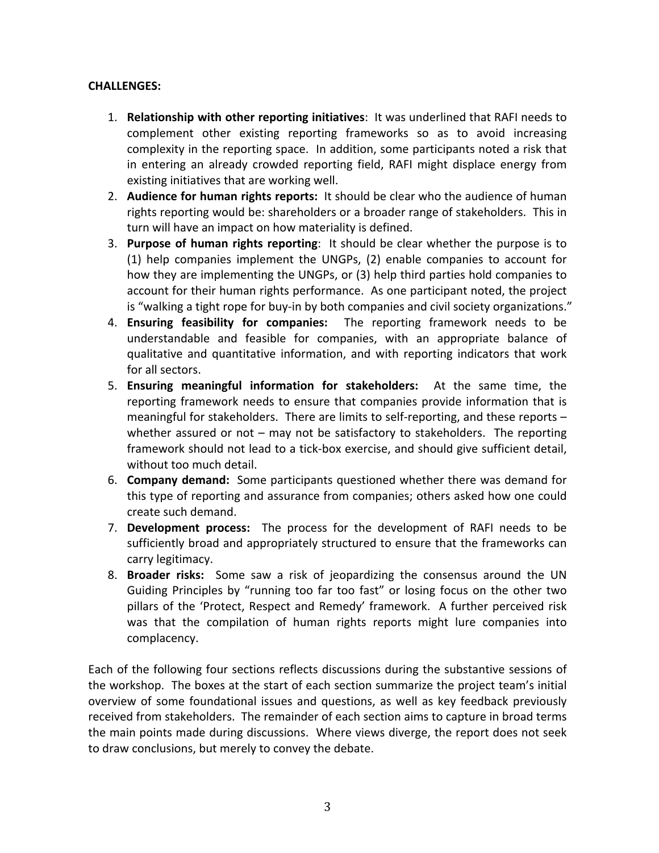# **CHALLENGES:**

- 1. **Relationship with other reporting initiatives**: It was underlined that RAFI needs to complement other existing reporting frameworks so as to avoid increasing complexity in the reporting space. In addition, some participants noted a risk that in entering an already crowded reporting field, RAFI might displace energy from existing initiatives that are working well.
- 2. Audience for human rights reports: It should be clear who the audience of human rights reporting would be: shareholders or a broader range of stakeholders. This in turn will have an impact on how materiality is defined.
- 3. **Purpose of human rights reporting**: It should be clear whether the purpose is to (1) help companies implement the UNGPs, (2) enable companies to account for how they are implementing the UNGPs, or (3) help third parties hold companies to account for their human rights performance. As one participant noted, the project is "walking a tight rope for buy-in by both companies and civil society organizations."
- 4. **Ensuring feasibility for companies:** The reporting framework needs to be understandable and feasible for companies, with an appropriate balance of qualitative and quantitative information, and with reporting indicators that work for all sectors.
- 5. **Ensuring meaningful information for stakeholders:** At the same time, the reporting framework needs to ensure that companies provide information that is meaningful for stakeholders. There are limits to self-reporting, and these reports  $$ whether assured or not - may not be satisfactory to stakeholders. The reporting framework should not lead to a tick-box exercise, and should give sufficient detail, without too much detail.
- 6. **Company demand:** Some participants questioned whether there was demand for this type of reporting and assurance from companies; others asked how one could create such demand.
- 7. **Development process:** The process for the development of RAFI needs to be sufficiently broad and appropriately structured to ensure that the frameworks can carry legitimacy.
- 8. **Broader risks:** Some saw a risk of jeopardizing the consensus around the UN Guiding Principles by "running too far too fast" or losing focus on the other two pillars of the 'Protect, Respect and Remedy' framework. A further perceived risk was that the compilation of human rights reports might lure companies into complacency.

Each of the following four sections reflects discussions during the substantive sessions of the workshop. The boxes at the start of each section summarize the project team's initial overview of some foundational issues and questions, as well as key feedback previously received from stakeholders. The remainder of each section aims to capture in broad terms the main points made during discussions. Where views diverge, the report does not seek to draw conclusions, but merely to convey the debate.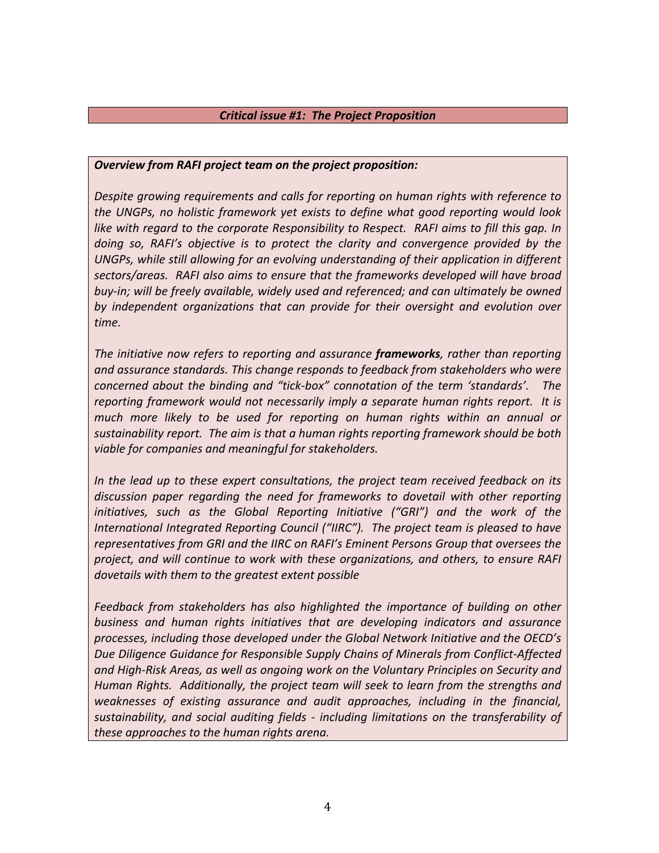### *Critical issue #1: The Project Proposition*

### *Overview from RAFI project team on the project proposition:*

Despite growing requirements and calls for reporting on human rights with reference to the UNGPs, no holistic framework yet exists to define what good reporting would look *like* with regard to the corporate Responsibility to Respect. RAFI aims to fill this gap. In doing so, RAFI's objective is to protect the clarity and convergence provided by the UNGPs, while still allowing for an evolving understanding of their application in different sectors/areas. RAFI also aims to ensure that the frameworks developed will have broad buy-in; will be freely available, widely used and referenced; and can ultimately be owned by independent organizations that can provide for their oversight and evolution over time.

The initiative now refers to reporting and assurance **frameworks**, rather than reporting and assurance standards. This change responds to feedback from stakeholders who were *concerned about the binding and "tick-box" connotation of the term 'standards'. The reporting framework would not necessarily imply a separate human rights report. It is much* more likely to be used for reporting on human rights within an annual or *sustainability report. The aim is that a human rights reporting framework should be both viable for companies and meaningful for stakeholders.* 

*In* the lead up to these expert consultations, the project team received feedback on its discussion paper regarding the need for frameworks to dovetail with other reporting *initiatives, such as the Global Reporting Initiative ("GRI")* and the work of the *International Integrated Reporting Council* ("IIRC"). The project team is pleased to have *representatives from GRI and the IIRC on RAFI's Eminent Persons Group that oversees the* project, and will continue to work with these organizations, and others, to ensure RAFI dovetails with them to the greatest extent possible

Feedback from stakeholders has also highlighted the importance of building on other business and human rights initiatives that are developing indicators and assurance processes, including those developed under the Global Network Initiative and the OECD's Due Diligence Guidance for Responsible Supply Chains of Minerals from Conflict-Affected and High-Risk Areas, as well as ongoing work on the Voluntary Principles on Security and Human Rights. Additionally, the project team will seek to learn from the strengths and *weaknesses* of *existing assurance and audit approaches, including in the financial,* sustainability, and social auditing fields - including limitations on the transferability of *these approaches to the human rights arena.*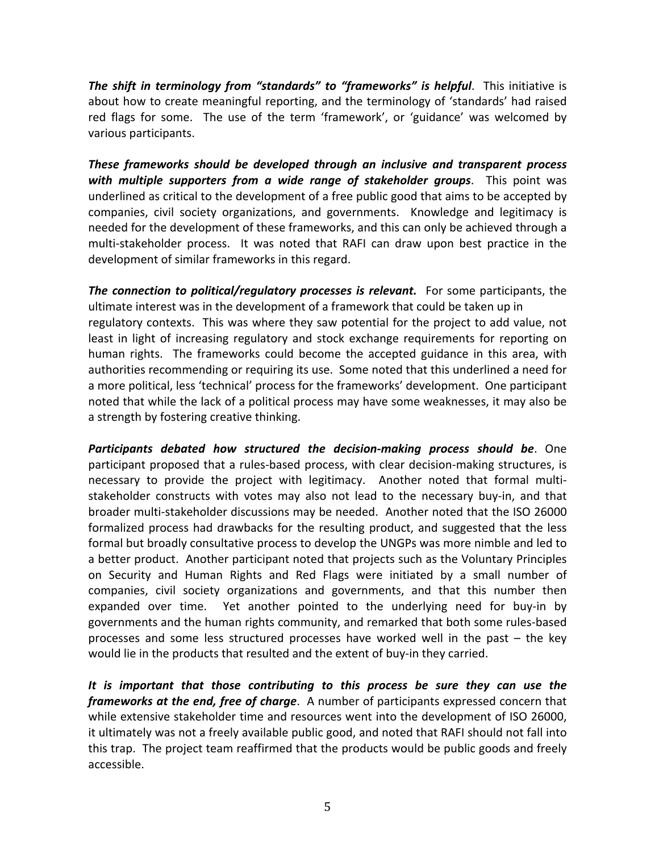*The shift in terminology from "standards" to "frameworks" is helpful.* **This initiative is** about how to create meaningful reporting, and the terminology of 'standards' had raised red flags for some. The use of the term 'framework', or 'guidance' was welcomed by various participants.

**These frameworks should be developed through an inclusive and transparent process** with multiple supporters from a wide range of stakeholder groups. This point was underlined as critical to the development of a free public good that aims to be accepted by companies, civil society organizations, and governments. Knowledge and legitimacy is needed for the development of these frameworks, and this can only be achieved through a multi-stakeholder process. It was noted that RAFI can draw upon best practice in the development of similar frameworks in this regard.

*The connection to political/regulatory processes is relevant.* For some participants, the ultimate interest was in the development of a framework that could be taken up in regulatory contexts. This was where they saw potential for the project to add value, not least in light of increasing regulatory and stock exchange requirements for reporting on human rights. The frameworks could become the accepted guidance in this area, with authorities recommending or requiring its use. Some noted that this underlined a need for a more political, less 'technical' process for the frameworks' development. One participant noted that while the lack of a political process may have some weaknesses, it may also be a strength by fostering creative thinking.

**Participants debated how structured the decision-making process should be.** One participant proposed that a rules-based process, with clear decision-making structures, is necessary to provide the project with legitimacy. Another noted that formal multistakeholder constructs with votes may also not lead to the necessary buy-in, and that broader multi-stakeholder discussions may be needed. Another noted that the ISO 26000 formalized process had drawbacks for the resulting product, and suggested that the less formal but broadly consultative process to develop the UNGPs was more nimble and led to a better product. Another participant noted that projects such as the Voluntary Principles on Security and Human Rights and Red Flags were initiated by a small number of companies, civil society organizations and governments, and that this number then expanded over time. Yet another pointed to the underlying need for buy-in by governments and the human rights community, and remarked that both some rules-based processes and some less structured processes have worked well in the past  $-$  the key would lie in the products that resulted and the extent of buy-in they carried.

It is important that those contributing to this process be sure they can use the *frameworks at the end, free of charge.* A number of participants expressed concern that while extensive stakeholder time and resources went into the development of ISO 26000, it ultimately was not a freely available public good, and noted that RAFI should not fall into this trap. The project team reaffirmed that the products would be public goods and freely accessible.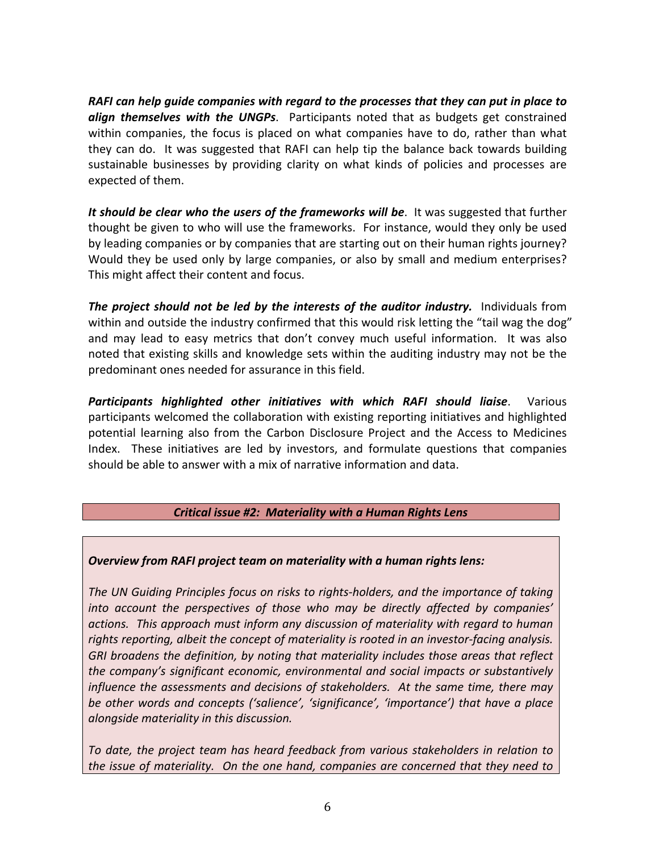*RAFI* can help guide companies with regard to the processes that they can put in place to *align themselves with the UNGPs*. Participants noted that as budgets get constrained within companies, the focus is placed on what companies have to do, rather than what they can do. It was suggested that RAFI can help tip the balance back towards building sustainable businesses by providing clarity on what kinds of policies and processes are expected of them.

It should be clear who the users of the frameworks will be. It was suggested that further thought be given to who will use the frameworks. For instance, would they only be used by leading companies or by companies that are starting out on their human rights journey? Would they be used only by large companies, or also by small and medium enterprises? This might affect their content and focus.

**The project should not be led by the interests of the** *auditor industry***. Individuals from** within and outside the industry confirmed that this would risk letting the "tail wag the dog" and may lead to easy metrics that don't convey much useful information. It was also noted that existing skills and knowledge sets within the auditing industry may not be the predominant ones needed for assurance in this field.

**Participants highlighted other initiatives with which RAFI should liaise.** Various participants welcomed the collaboration with existing reporting initiatives and highlighted potential learning also from the Carbon Disclosure Project and the Access to Medicines Index. These initiatives are led by investors, and formulate questions that companies should be able to answer with a mix of narrative information and data.

# *Critical issue #2: Materiality with a Human Rights Lens*

## **Overview from RAFI project team on materiality with a human rights lens:**

The UN Guiding Principles focus on risks to rights-holders, and the importance of taking into account the perspectives of those who may be directly affected by companies' *actions. This approach must inform any discussion of materiality with regard to human*  rights reporting, albeit the concept of materiality is rooted in an investor-facing analysis. GRI broadens the definition, by noting that materiality includes those areas that reflect *the company's significant economic, environmental and social impacts or substantively influence the assessments and decisions of stakeholders. At the same time, there may be* other words and concepts ('salience', 'significance', 'importance') that have a place *alongside materiality in this discussion.* 

*To* date, the project team has heard feedback from various stakeholders in relation to *the issue of materiality.* On the one hand, companies are concerned that they need to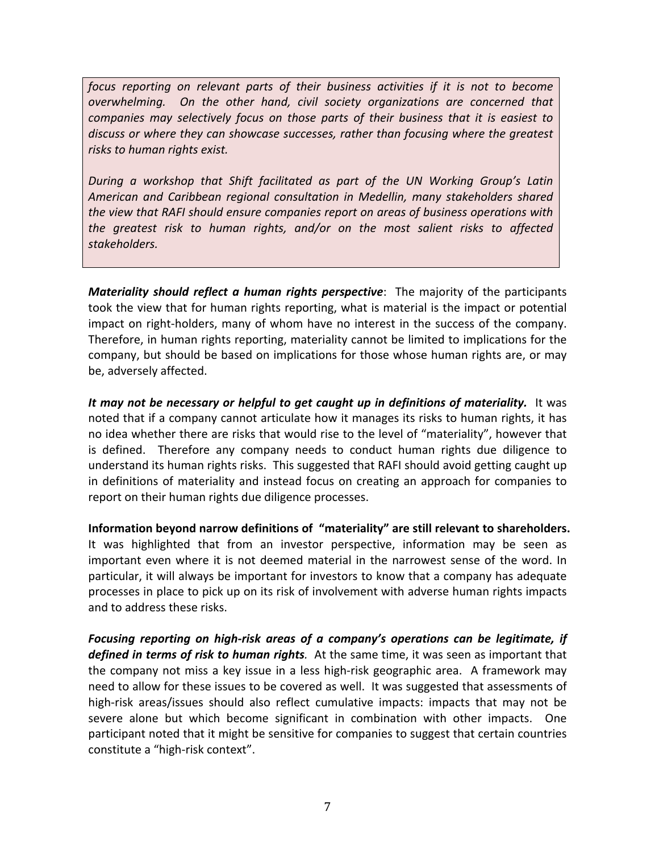*focus* reporting on relevant parts of their business activities if it is not to become *overwhelming.* On the other hand, civil society organizations are concerned that *companies may selectively focus on those parts of their business that it is easiest to* discuss or where they can showcase successes, rather than focusing where the greatest *risks* to human rights exist.

*During* a workshop that Shift facilitated as part of the UN Working Group's Latin *American and Caribbean regional consultation in Medellin, many stakeholders shared the view that RAFI should ensure companies report on areas of business operations with the greatest risk to human rights, and/or on the most salient risks to affected*  stakeholders.

*Materiality should reflect a human rights perspective:* The majority of the participants took the view that for human rights reporting, what is material is the impact or potential impact on right-holders, many of whom have no interest in the success of the company. Therefore, in human rights reporting, materiality cannot be limited to implications for the company, but should be based on implications for those whose human rights are, or may be, adversely affected.

It may not be necessary or helpful to get caught up in definitions of materiality. It was noted that if a company cannot articulate how it manages its risks to human rights, it has no idea whether there are risks that would rise to the level of "materiality", however that is defined. Therefore any company needs to conduct human rights due diligence to understand its human rights risks. This suggested that RAFI should avoid getting caught up in definitions of materiality and instead focus on creating an approach for companies to report on their human rights due diligence processes.

**Information beyond narrow definitions of "materiality" are still relevant to shareholders.** It was highlighted that from an investor perspective, information may be seen as important even where it is not deemed material in the narrowest sense of the word. In particular, it will always be important for investors to know that a company has adequate processes in place to pick up on its risk of involvement with adverse human rights impacts and to address these risks.

*Focusing reporting on high-risk areas of a company's operations can be legitimate, if defined in terms of risk to human rights.* At the same time, it was seen as important that the company not miss a key issue in a less high-risk geographic area. A framework may need to allow for these issues to be covered as well. It was suggested that assessments of high-risk areas/issues should also reflect cumulative impacts: impacts that may not be severe alone but which become significant in combination with other impacts. One participant noted that it might be sensitive for companies to suggest that certain countries constitute a "high-risk context".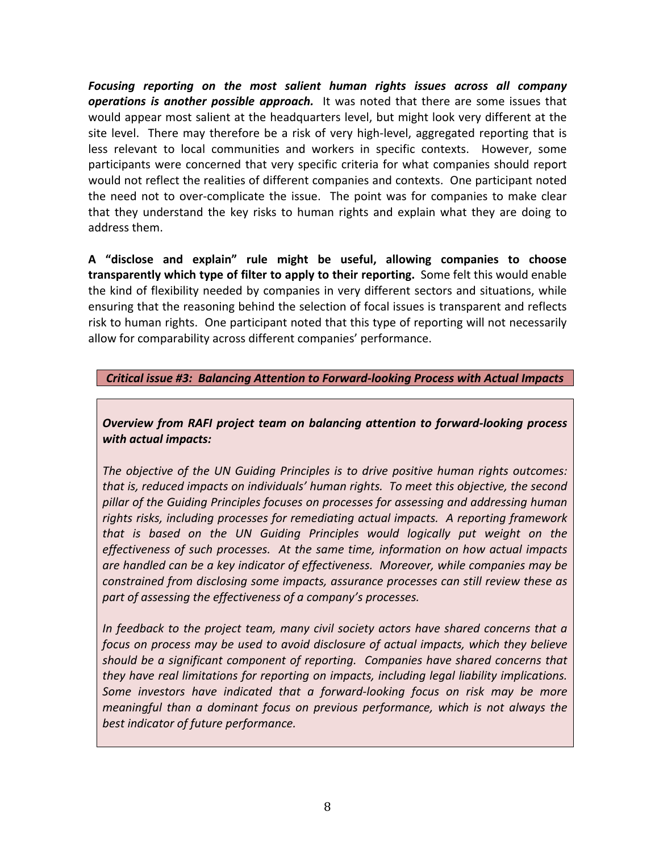Focusing reporting on the most salient human rights issues across all company **operations is another possible approach.** It was noted that there are some issues that would appear most salient at the headquarters level, but might look very different at the site level. There may therefore be a risk of very high-level, aggregated reporting that is less relevant to local communities and workers in specific contexts. However, some participants were concerned that very specific criteria for what companies should report would not reflect the realities of different companies and contexts. One participant noted the need not to over-complicate the issue. The point was for companies to make clear that they understand the key risks to human rights and explain what they are doing to address them.

**A "disclose and explain" rule might be useful, allowing companies to choose transparently which type of filter to apply to their reporting.** Some felt this would enable the kind of flexibility needed by companies in very different sectors and situations, while ensuring that the reasoning behind the selection of focal issues is transparent and reflects risk to human rights. One participant noted that this type of reporting will not necessarily allow for comparability across different companies' performance.

## *Critical issue #3: Balancing Attention to Forward-looking Process with Actual Impacts*

**Overview from RAFI project team on balancing attention to forward-looking process** *with actual impacts:*

The objective of the UN Guiding Principles is to drive positive human rights outcomes: that is, reduced impacts on individuals' human rights. To meet this objective, the second pillar of the Guiding Principles focuses on processes for assessing and addressing human rights risks, including processes for remediating actual impacts. A reporting framework *that* is based on the UN Guiding Principles would logically put weight on the *effectiveness of such processes.* At the same time, information on how actual impacts *are handled can be a key indicator of effectiveness. Moreover, while companies may be constrained from disclosing some impacts, assurance processes can still review these as part of assessing the effectiveness of a company's processes.* 

*In* feedback to the project team, many civil society actors have shared concerns that a *focus* on process may be used to avoid disclosure of actual impacts, which they believe *should* be a significant component of reporting. Companies have shared concerns that *they have real limitations for reporting on impacts, including legal liability implications.* Some investors have indicated that a forward-looking focus on risk may be more *meaningful* than a dominant focus on previous performance, which is not always the best indicator of future performance.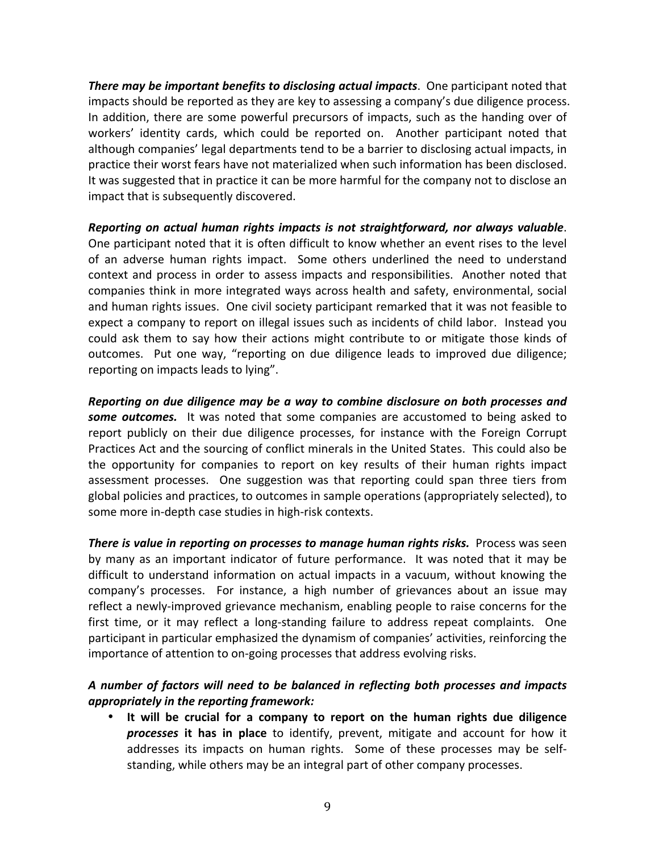**There may be important benefits to disclosing actual impacts.** One participant noted that impacts should be reported as they are key to assessing a company's due diligence process. In addition, there are some powerful precursors of impacts, such as the handing over of workers' identity cards, which could be reported on. Another participant noted that although companies' legal departments tend to be a barrier to disclosing actual impacts, in practice their worst fears have not materialized when such information has been disclosed. It was suggested that in practice it can be more harmful for the company not to disclose an impact that is subsequently discovered.

*Reporting* on actual human rights impacts is not straightforward, nor always valuable. One participant noted that it is often difficult to know whether an event rises to the level of an adverse human rights impact. Some others underlined the need to understand context and process in order to assess impacts and responsibilities. Another noted that companies think in more integrated ways across health and safety, environmental, social and human rights issues. One civil society participant remarked that it was not feasible to expect a company to report on illegal issues such as incidents of child labor. Instead you could ask them to say how their actions might contribute to or mitigate those kinds of outcomes. Put one way, "reporting on due diligence leads to improved due diligence; reporting on impacts leads to lying".

*Reporting* on due diligence may be a way to combine disclosure on both processes and **some outcomes.** It was noted that some companies are accustomed to being asked to report publicly on their due diligence processes, for instance with the Foreign Corrupt Practices Act and the sourcing of conflict minerals in the United States. This could also be the opportunity for companies to report on key results of their human rights impact assessment processes. One suggestion was that reporting could span three tiers from global policies and practices, to outcomes in sample operations (appropriately selected), to some more in-depth case studies in high-risk contexts.

**There is value in reporting on processes to manage human rights risks.** Process was seen by many as an important indicator of future performance. It was noted that it may be difficult to understand information on actual impacts in a vacuum, without knowing the company's processes. For instance, a high number of grievances about an issue may reflect a newly-improved grievance mechanism, enabling people to raise concerns for the first time, or it may reflect a long-standing failure to address repeat complaints. One participant in particular emphasized the dynamism of companies' activities, reinforcing the importance of attention to on-going processes that address evolving risks.

# A number of factors will need to be balanced in reflecting both processes and impacts *appropriately in the reporting framework:*

• It will be crucial for a company to report on the human rights due diligence **processes** it has in place to identify, prevent, mitigate and account for how it addresses its impacts on human rights. Some of these processes may be selfstanding, while others may be an integral part of other company processes.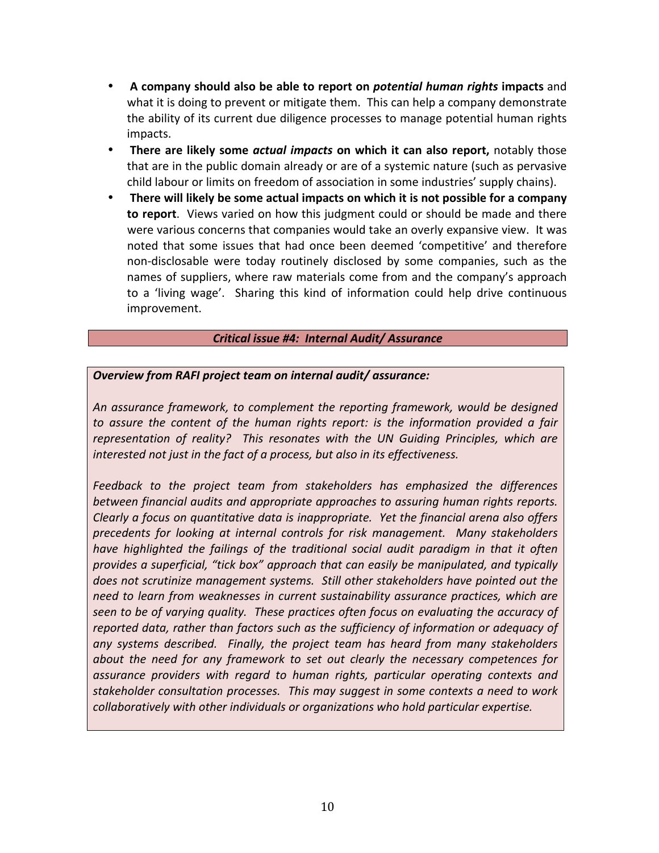- A company should also be able to report on *potential human rights* impacts and what it is doing to prevent or mitigate them. This can help a company demonstrate the ability of its current due diligence processes to manage potential human rights impacts.
- **There are likely some** *actual impacts* **on which it can also report,** notably those that are in the public domain already or are of a systemic nature (such as pervasive child labour or limits on freedom of association in some industries' supply chains).
- **There will likely be some actual impacts on which it is not possible for a company to report**. Views varied on how this judgment could or should be made and there were various concerns that companies would take an overly expansive view. It was noted that some issues that had once been deemed 'competitive' and therefore non-disclosable were today routinely disclosed by some companies, such as the names of suppliers, where raw materials come from and the company's approach to a 'living wage'. Sharing this kind of information could help drive continuous improvement.

### *Critical issue #4: Internal Audit/ Assurance*

## *Overview from RAFI project team on internal audit/ assurance:*

An assurance framework, to complement the reporting framework, would be designed to assure the content of the human rights report: is the information provided a fair *representation of reality?* This resonates with the UN Guiding Principles, which are *interested not just in the fact of a process, but also in its effectiveness.* 

Feedback to the project team from stakeholders has emphasized the differences *between financial audits and appropriate approaches to assuring human rights reports. Clearly* a focus on quantitative data is inappropriate. Yet the financial arena also offers precedents for looking at internal controls for risk management. Many stakeholders *have highlighted the failings of the traditional social audit paradigm in that it often provides a superficial, "tick box" approach that can easily be manipulated, and typically does not scrutinize management systems. Still other stakeholders have pointed out the need to learn from weaknesses in current sustainability assurance practices, which are seen to be of varying quality. These practices often focus on evaluating the accuracy of reported data, rather than factors such as the sufficiency of information or adequacy of* any systems described. Finally, the project team has heard from many stakeholders *about* the need for any framework to set out clearly the necessary competences for *assurance providers with regard to human rights, particular operating contexts and*  stakeholder consultation processes. This may suggest in some contexts a need to work *collaboratively with other individuals or organizations who hold particular expertise.*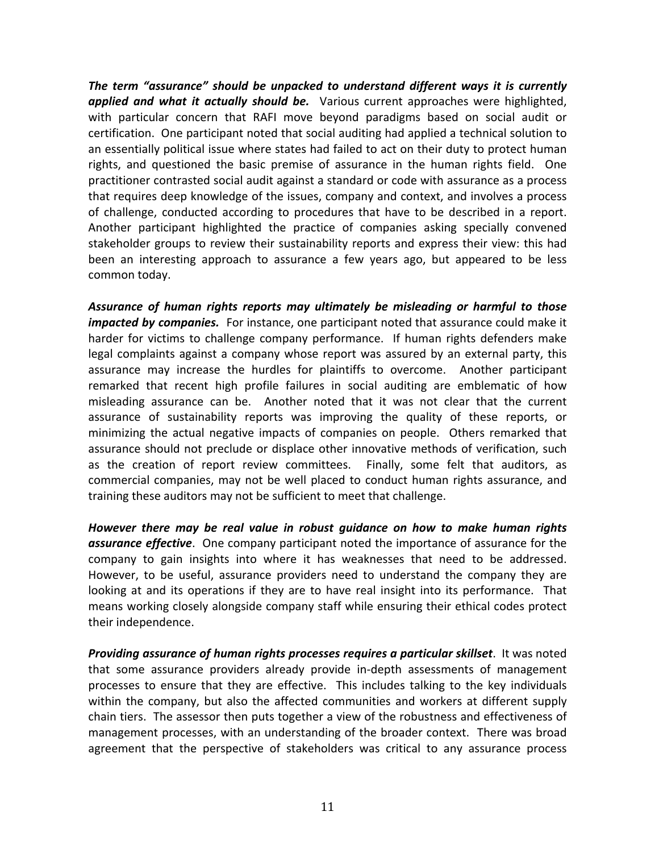The term "assurance" should be unpacked to understand different ways it is currently applied and what it actually should be. Various current approaches were highlighted, with particular concern that RAFI move beyond paradigms based on social audit or certification. One participant noted that social auditing had applied a technical solution to an essentially political issue where states had failed to act on their duty to protect human rights, and questioned the basic premise of assurance in the human rights field. One practitioner contrasted social audit against a standard or code with assurance as a process that requires deep knowledge of the issues, company and context, and involves a process of challenge, conducted according to procedures that have to be described in a report. Another participant highlighted the practice of companies asking specially convened stakeholder groups to review their sustainability reports and express their view: this had been an interesting approach to assurance a few years ago, but appeared to be less common today.

Assurance of human rights reports may ultimately be misleading or harmful to those *impacted by companies.* For instance, one participant noted that assurance could make it harder for victims to challenge company performance. If human rights defenders make legal complaints against a company whose report was assured by an external party, this assurance may increase the hurdles for plaintiffs to overcome. Another participant remarked that recent high profile failures in social auditing are emblematic of how misleading assurance can be. Another noted that it was not clear that the current assurance of sustainability reports was improving the quality of these reports, or minimizing the actual negative impacts of companies on people. Others remarked that assurance should not preclude or displace other innovative methods of verification, such as the creation of report review committees. Finally, some felt that auditors, as commercial companies, may not be well placed to conduct human rights assurance, and training these auditors may not be sufficient to meet that challenge.

However there may be real value in robust guidance on how to make human rights **assurance effective**. One company participant noted the importance of assurance for the company to gain insights into where it has weaknesses that need to be addressed. However, to be useful, assurance providers need to understand the company they are looking at and its operations if they are to have real insight into its performance. That means working closely alongside company staff while ensuring their ethical codes protect their independence.

**Providing assurance of human rights processes requires a particular skillset**. It was noted that some assurance providers already provide in-depth assessments of management processes to ensure that they are effective. This includes talking to the key individuals within the company, but also the affected communities and workers at different supply chain tiers. The assessor then puts together a view of the robustness and effectiveness of management processes, with an understanding of the broader context. There was broad agreement that the perspective of stakeholders was critical to any assurance process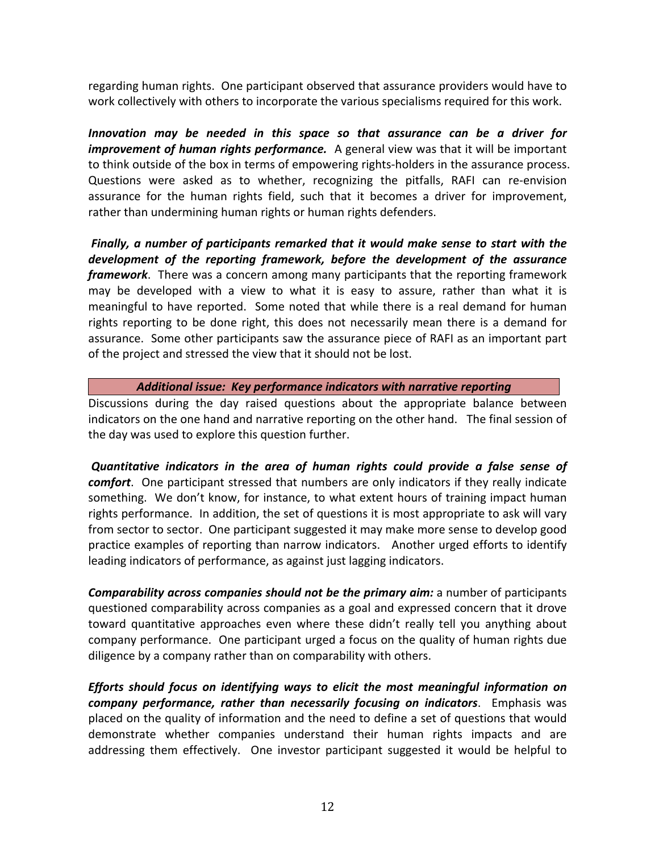regarding human rights. One participant observed that assurance providers would have to work collectively with others to incorporate the various specialisms required for this work.

*Innovation may be needed in this space so that assurance can be a driver for improvement of human rights performance.* A general view was that it will be important to think outside of the box in terms of empowering rights-holders in the assurance process. Questions were asked as to whether, recognizing the pitfalls, RAFI can re-envision assurance for the human rights field, such that it becomes a driver for improvement, rather than undermining human rights or human rights defenders.

*Finally, a number of participants remarked that it would make sense to start with the* development of the reporting framework, before the development of the assurance *framework*. There was a concern among many participants that the reporting framework may be developed with a view to what it is easy to assure, rather than what it is meaningful to have reported. Some noted that while there is a real demand for human rights reporting to be done right, this does not necessarily mean there is a demand for assurance. Some other participants saw the assurance piece of RAFI as an important part of the project and stressed the view that it should not be lost.

Additional *issue:* Key performance indicators with narrative reporting

Discussions during the day raised questions about the appropriate balance between indicators on the one hand and narrative reporting on the other hand. The final session of the day was used to explore this question further.

**Quantitative indicators in the area of human rights could provide a false sense of** *comfort*. One participant stressed that numbers are only indicators if they really indicate something. We don't know, for instance, to what extent hours of training impact human rights performance. In addition, the set of questions it is most appropriate to ask will vary from sector to sector. One participant suggested it may make more sense to develop good practice examples of reporting than narrow indicators. Another urged efforts to identify leading indicators of performance, as against just lagging indicators.

**Comparability across companies should not be the primary aim:** a number of participants questioned comparability across companies as a goal and expressed concern that it drove toward quantitative approaches even where these didn't really tell you anything about company performance. One participant urged a focus on the quality of human rights due diligence by a company rather than on comparability with others.

*Efforts* should focus on identifying ways to elicit the most meaningful information on *company performance, rather than necessarily focusing on indicators.* **Emphasis was** placed on the quality of information and the need to define a set of questions that would demonstrate whether companies understand their human rights impacts and are addressing them effectively. One investor participant suggested it would be helpful to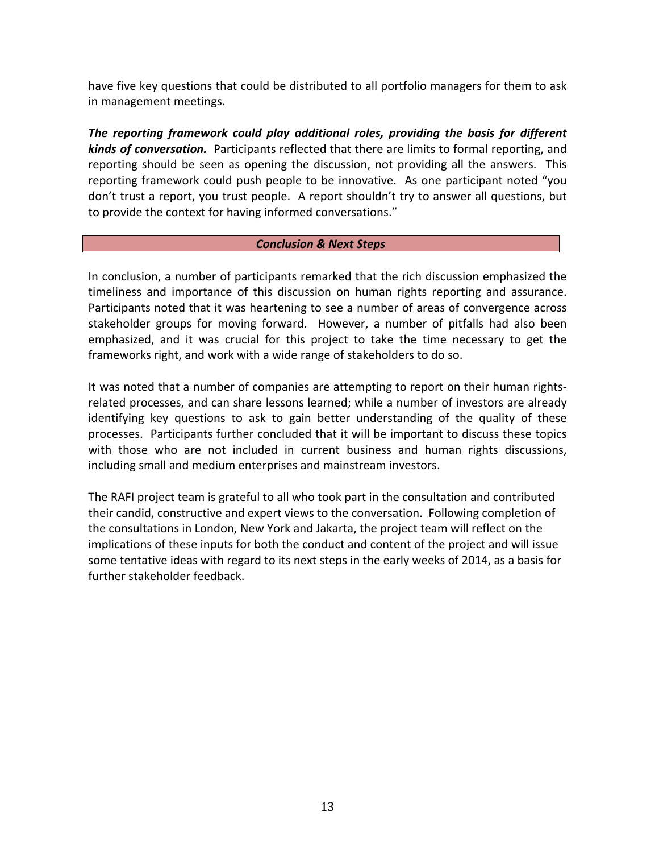have five key questions that could be distributed to all portfolio managers for them to ask in management meetings.

The reporting framework could play additional roles, providing the basis for different **kinds of conversation.** Participants reflected that there are limits to formal reporting, and reporting should be seen as opening the discussion, not providing all the answers. This reporting framework could push people to be innovative. As one participant noted "you don't trust a report, you trust people. A report shouldn't try to answer all questions, but to provide the context for having informed conversations."

## *Conclusion & Next Steps*

In conclusion, a number of participants remarked that the rich discussion emphasized the timeliness and importance of this discussion on human rights reporting and assurance. Participants noted that it was heartening to see a number of areas of convergence across stakeholder groups for moving forward. However, a number of pitfalls had also been emphasized, and it was crucial for this project to take the time necessary to get the frameworks right, and work with a wide range of stakeholders to do so.

It was noted that a number of companies are attempting to report on their human rightsrelated processes, and can share lessons learned; while a number of investors are already identifying key questions to ask to gain better understanding of the quality of these processes. Participants further concluded that it will be important to discuss these topics with those who are not included in current business and human rights discussions, including small and medium enterprises and mainstream investors.

The RAFI project team is grateful to all who took part in the consultation and contributed their candid, constructive and expert views to the conversation. Following completion of the consultations in London, New York and Jakarta, the project team will reflect on the implications of these inputs for both the conduct and content of the project and will issue some tentative ideas with regard to its next steps in the early weeks of 2014, as a basis for further stakeholder feedback.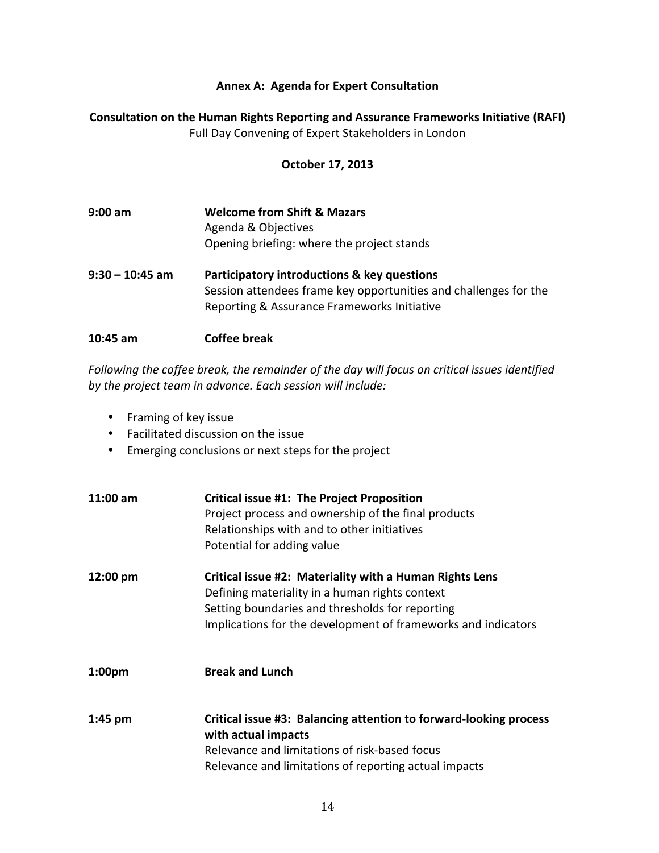## **Annex A: Agenda for Expert Consultation**

# **Consultation on the Human Rights Reporting and Assurance Frameworks Initiative (RAFI)** Full Day Convening of Expert Stakeholders in London

### **October 17, 2013**

| $9:00$ am         | <b>Welcome from Shift &amp; Mazars</b><br>Agenda & Objectives<br>Opening briefing: where the project stands                                                    |
|-------------------|----------------------------------------------------------------------------------------------------------------------------------------------------------------|
| $9:30 - 10:45$ am | Participatory introductions & key questions<br>Session attendees frame key opportunities and challenges for the<br>Reporting & Assurance Frameworks Initiative |
| $10:45$ am        | <b>Coffee break</b>                                                                                                                                            |

Following the coffee break, the remainder of the day will focus on critical issues identified by the project team in advance. Each session will include:

- Framing of key issue
- Facilitated discussion on the issue
- Emerging conclusions or next steps for the project

| $11:00$ am         | <b>Critical issue #1: The Project Proposition</b><br>Project process and ownership of the final products<br>Relationships with and to other initiatives<br>Potential for adding value                                         |
|--------------------|-------------------------------------------------------------------------------------------------------------------------------------------------------------------------------------------------------------------------------|
| 12:00 pm           | Critical issue #2: Materiality with a Human Rights Lens<br>Defining materiality in a human rights context<br>Setting boundaries and thresholds for reporting<br>Implications for the development of frameworks and indicators |
| 1:00 <sub>pm</sub> | <b>Break and Lunch</b>                                                                                                                                                                                                        |
| $1:45$ pm          | Critical issue #3: Balancing attention to forward-looking process<br>with actual impacts<br>Relevance and limitations of risk-based focus<br>Relevance and limitations of reporting actual impacts                            |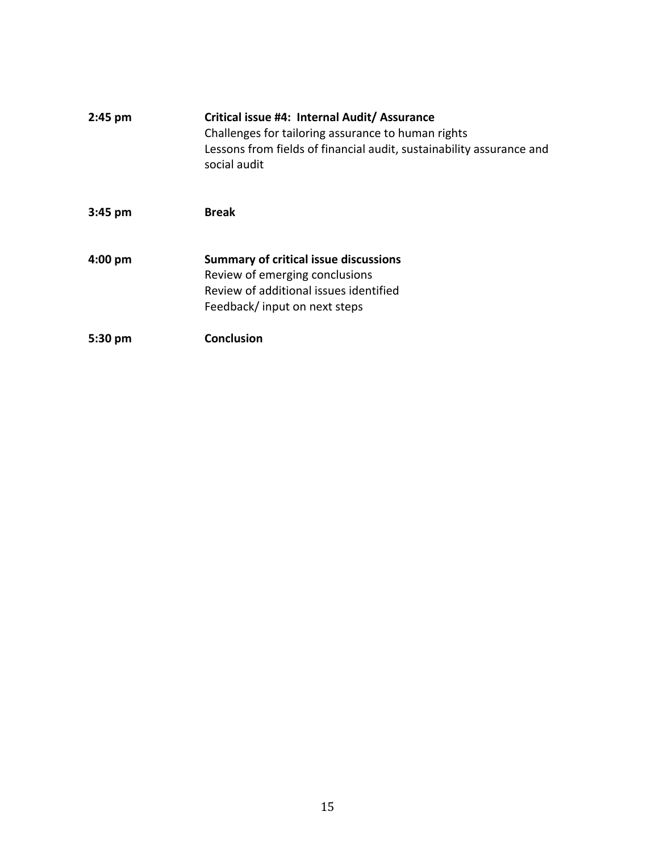| $2:45$ pm         | Critical issue #4: Internal Audit/ Assurance<br>Challenges for tailoring assurance to human rights<br>Lessons from fields of financial audit, sustainability assurance and<br>social audit |
|-------------------|--------------------------------------------------------------------------------------------------------------------------------------------------------------------------------------------|
| $3:45 \text{ pm}$ | <b>Break</b>                                                                                                                                                                               |
| $4:00 \text{ pm}$ | <b>Summary of critical issue discussions</b><br>Review of emerging conclusions<br>Review of additional issues identified<br>Feedback/input on next steps                                   |
| 5:30 pm           | <b>Conclusion</b>                                                                                                                                                                          |